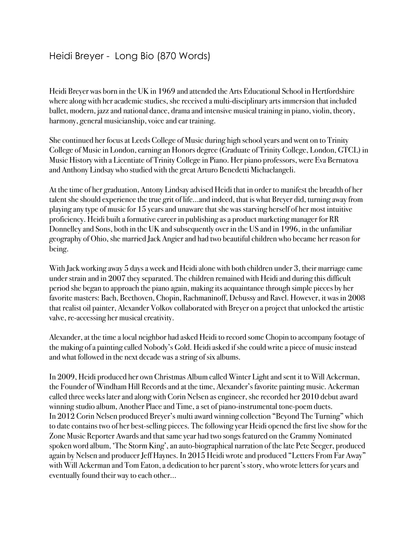## Heidi Breyer - Long Bio (870 Words)

Heidi Breyer was born in the UK in 1969 and attended the Arts Educational School in Hertfordshire where along with her academic studies, she received a multi-disciplinary arts immersion that included ballet, modern, jazz and national dance, drama and intensive musical training in piano, violin, theory, harmony, general musicianship, voice and ear training.

She continued her focus at Leeds College of Music during high school years and went on to Trinity College of Music in London, earning an Honors degree (Graduate of Trinity College, London, GTCL) in Music History with a Licentiate of Trinity College in Piano. Her piano professors, were Eva Bernatova and Anthony Lindsay who studied with the great Arturo Benedetti Michaelangeli.

At the time of her graduation, Antony Lindsay advised Heidi that in order to manifest the breadth of her talent she should experience the true grit of life…and indeed, that is what Breyer did, turning away from playing any type of music for 15 years and unaware that she was starving herself of her most intuitive proficiency. Heidi built a formative career in publishing as a product marketing manager for RR Donnelley and Sons, both in the UK and subsequently over in the US and in 1996, in the unfamiliar geography of Ohio, she married Jack Angier and had two beautiful children who became her reason for being.

With Jack working away 5 days a week and Heidi alone with both children under 3, their marriage came under strain and in 2007 they separated. The children remained with Heidi and during this difficult period she began to approach the piano again, making its acquaintance through simple pieces by her favorite masters: Bach, Beethoven, Chopin, Rachmaninoff, Debussy and Ravel. However, it was in 2008 that realist oil painter, Alexander Volkov collaborated with Breyer on a project that unlocked the artistic valve, re-accessing her musical creativity.

Alexander, at the time a local neighbor had asked Heidi to record some Chopin to accompany footage of the making of a painting called Nobody's Gold. Heidi asked if she could write a piece of music instead and what followed in the next decade was a string of six albums.

In 2009, Heidi produced her own Christmas Album called Winter Light and sent it to Will Ackerman, the Founder of Windham Hill Records and at the time, Alexander's favorite painting music. Ackerman called three weeks later and along with Corin Nelsen as engineer, she recorded her 2010 debut award winning studio album, Another Place and Time, a set of piano-instrumental tone-poem duets. In 2012 Corin Nelsen produced Breyer's multi award winning collection "Beyond The Turning" which to date contains two of her best-selling pieces. The following year Heidi opened the first live show for the Zone Music Reporter Awards and that same year had two songs featured on the Grammy Nominated spoken word album, 'The Storm King', an auto-biographical narration of the late Pete Seeger, produced again by Nelsen and producer Jeff Haynes. In 2015 Heidi wrote and produced "Letters From Far Away" with Will Ackerman and Tom Eaton, a dedication to her parent's story, who wrote letters for years and eventually found their way to each other…